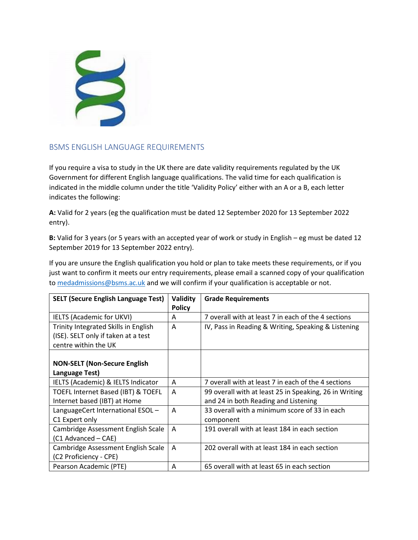

## BSMS ENGLISH LANGUAGE REQUIREMENTS

If you require a visa to study in the UK there are date validity requirements regulated by the UK Government for different English language qualifications. The valid time for each qualification is indicated in the middle column under the title 'Validity Policy' either with an A or a B, each letter indicates the following:

**A:** Valid for 2 years (eg the qualification must be dated 12 September 2020 for 13 September 2022 entry).

**B:** Valid for 3 years (or 5 years with an accepted year of work or study in English – eg must be dated 12 September 2019 for 13 September 2022 entry).

If you are unsure the English qualification you hold or plan to take meets these requirements, or if you just want to confirm it meets our entry requirements, please email a scanned copy of your qualification to [medadmissions@bsms.ac.uk](mailto:medadmissions@bsms.ac.uk) and we will confirm if your qualification is acceptable or not.

| <b>SELT (Secure English Language Test)</b>                                                          | Validity<br><b>Policy</b> | <b>Grade Requirements</b>                                                                      |
|-----------------------------------------------------------------------------------------------------|---------------------------|------------------------------------------------------------------------------------------------|
| <b>IELTS (Academic for UKVI)</b>                                                                    | A                         | 7 overall with at least 7 in each of the 4 sections                                            |
| Trinity Integrated Skills in English<br>(ISE). SELT only if taken at a test<br>centre within the UK | A                         | IV, Pass in Reading & Writing, Speaking & Listening                                            |
| <b>NON-SELT (Non-Secure English</b><br>Language Test)                                               |                           |                                                                                                |
| IELTS (Academic) & IELTS Indicator                                                                  | A                         | 7 overall with at least 7 in each of the 4 sections                                            |
| TOEFL Internet Based (IBT) & TOEFL<br>Internet based (IBT) at Home                                  | A                         | 99 overall with at least 25 in Speaking, 26 in Writing<br>and 24 in both Reading and Listening |
| LanguageCert International ESOL -<br>C1 Expert only                                                 | A                         | 33 overall with a minimum score of 33 in each<br>component                                     |
| Cambridge Assessment English Scale<br>(C1 Advanced – CAE)                                           | A                         | 191 overall with at least 184 in each section                                                  |
| Cambridge Assessment English Scale<br>(C2 Proficiency - CPE)                                        | A                         | 202 overall with at least 184 in each section                                                  |
| Pearson Academic (PTE)                                                                              | A                         | 65 overall with at least 65 in each section                                                    |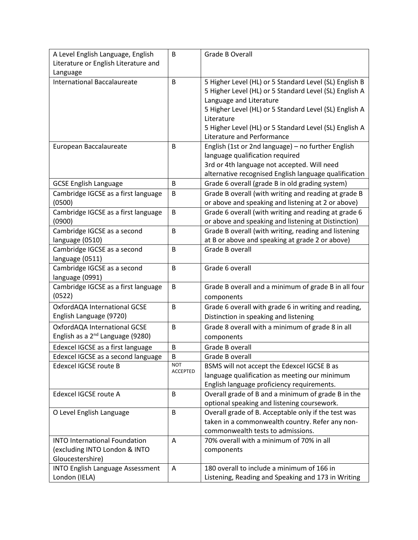| A Level English Language, English            | B               | Grade B Overall                                        |
|----------------------------------------------|-----------------|--------------------------------------------------------|
| Literature or English Literature and         |                 |                                                        |
| Language                                     |                 |                                                        |
| <b>International Baccalaureate</b>           | B               | 5 Higher Level (HL) or 5 Standard Level (SL) English B |
|                                              |                 | 5 Higher Level (HL) or 5 Standard Level (SL) English A |
|                                              |                 | Language and Literature                                |
|                                              |                 | 5 Higher Level (HL) or 5 Standard Level (SL) English A |
|                                              |                 | Literature                                             |
|                                              |                 | 5 Higher Level (HL) or 5 Standard Level (SL) English A |
|                                              |                 | Literature and Performance                             |
| European Baccalaureate                       | B               | English (1st or 2nd language) - no further English     |
|                                              |                 | language qualification required                        |
|                                              |                 | 3rd or 4th language not accepted. Will need            |
|                                              |                 | alternative recognised English language qualification  |
| <b>GCSE English Language</b>                 | B               | Grade 6 overall (grade B in old grading system)        |
| Cambridge IGCSE as a first language          | B               | Grade B overall (with writing and reading at grade B   |
| (0500)                                       |                 | or above and speaking and listening at 2 or above)     |
| Cambridge IGCSE as a first language          | B               | Grade 6 overall (with writing and reading at grade 6   |
| (0900)                                       |                 | or above and speaking and listening at Distinction)    |
| Cambridge IGCSE as a second                  | B               | Grade B overall (with writing, reading and listening   |
| language (0510)                              |                 | at B or above and speaking at grade 2 or above)        |
| Cambridge IGCSE as a second                  | B               | Grade B overall                                        |
| language (0511)                              |                 |                                                        |
| Cambridge IGCSE as a second                  | B               | Grade 6 overall                                        |
| language (0991)                              |                 |                                                        |
| Cambridge IGCSE as a first language          | B               | Grade B overall and a minimum of grade B in all four   |
| (0522)                                       |                 | components                                             |
| OxfordAQA International GCSE                 | B               | Grade 6 overall with grade 6 in writing and reading,   |
| English Language (9720)                      |                 | Distinction in speaking and listening                  |
| OxfordAQA International GCSE                 | B               | Grade 8 overall with a minimum of grade 8 in all       |
| English as a 2 <sup>nd</sup> Language (9280) |                 | components                                             |
| Edexcel IGCSE as a first language            | B               | Grade B overall                                        |
| Edexcel IGCSE as a second language           | B               | Grade B overall                                        |
| Edexcel IGCSE route B                        | <b>NOT</b>      | BSMS will not accept the Edexcel IGCSE B as            |
|                                              | <b>ACCEPTED</b> | language qualification as meeting our minimum          |
|                                              |                 | English language proficiency requirements.             |
| Edexcel IGCSE route A                        | B               | Overall grade of B and a minimum of grade B in the     |
|                                              |                 | optional speaking and listening coursework.            |
| O Level English Language                     | B               | Overall grade of B. Acceptable only if the test was    |
|                                              |                 | taken in a commonwealth country. Refer any non-        |
|                                              |                 | commonwealth tests to admissions.                      |
| <b>INTO International Foundation</b>         | A               | 70% overall with a minimum of 70% in all               |
| (excluding INTO London & INTO                |                 | components                                             |
| Gloucestershire)                             |                 |                                                        |
| <b>INTO English Language Assessment</b>      | Α               | 180 overall to include a minimum of 166 in             |
| London (IELA)                                |                 | Listening, Reading and Speaking and 173 in Writing     |